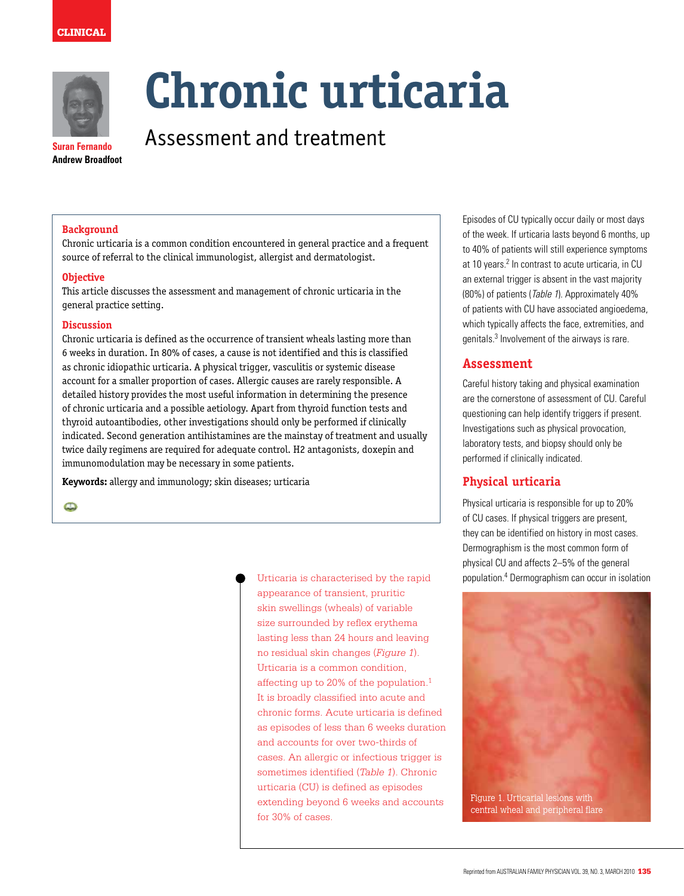



**Suran Fernando Andrew Broadfoot** 

# **Chronic urticaria**

Assessment and treatment

#### **Background**

Chronic urticaria is a common condition encountered in general practice and a frequent source of referral to the clinical immunologist, allergist and dermatologist.

#### **Objective**

This article discusses the assessment and management of chronic urticaria in the general practice setting.

#### **Discussion**

Chronic urticaria is defined as the occurrence of transient wheals lasting more than 6 weeks in duration. In 80% of cases, a cause is not identified and this is classified as chronic idiopathic urticaria. A physical trigger, vasculitis or systemic disease account for a smaller proportion of cases. Allergic causes are rarely responsible. A detailed history provides the most useful information in determining the presence of chronic urticaria and a possible aetiology. Apart from thyroid function tests and thyroid autoantibodies, other investigations should only be performed if clinically indicated. Second generation antihistamines are the mainstay of treatment and usually twice daily regimens are required for adequate control. H2 antagonists, doxepin and immunomodulation may be necessary in some patients.

**Keywords:** allergy and immunology; skin diseases; urticaria

 $\bullet$ 

Urticaria is characterised by the rapid appearance of transient, pruritic skin swellings (wheals) of variable size surrounded by reflex erythema lasting less than 24 hours and leaving no residual skin changes (*Figure 1*). Urticaria is a common condition, affecting up to 20% of the population.1 It is broadly classified into acute and chronic forms. Acute urticaria is defined as episodes of less than 6 weeks duration and accounts for over two-thirds of cases. An allergic or infectious trigger is sometimes identified (*Table 1*). Chronic urticaria (CU) is defined as episodes extending beyond 6 weeks and accounts for 30% of cases.

Episodes of CU typically occur daily or most days of the week. If urticaria lasts beyond 6 months, up to 40% of patients will still experience symptoms at 10 years.<sup>2</sup> In contrast to acute urticaria, in CU an external trigger is absent in the vast majority (80%) of patients (Table 1). Approximately 40% of patients with CU have associated angioedema, which typically affects the face, extremities, and genitals.<sup>3</sup> Involvement of the airways is rare.

#### **Assessment**

Careful history taking and physical examination are the cornerstone of assessment of CU. Careful questioning can help identify triggers if present. Investigations such as physical provocation, laboratory tests, and biopsy should only be performed if clinically indicated.

#### **Physical urticaria**

Physical urticaria is responsible for up to 20% of CU cases. If physical triggers are present, they can be identified on history in most cases. Dermographism is the most common form of physical CU and affects 2–5% of the general population.4 Dermographism can occur in isolation

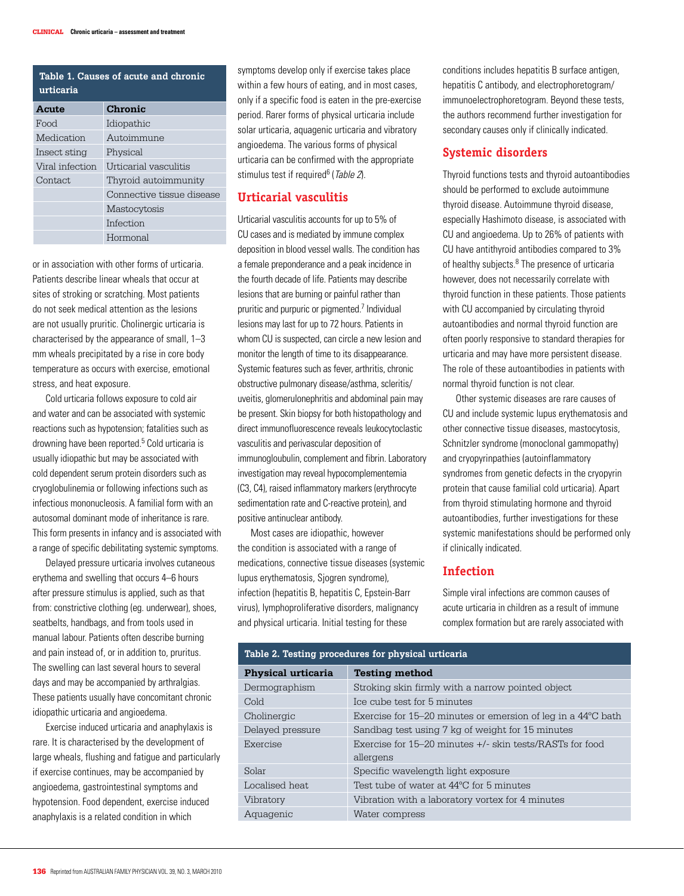| Table 1. Causes of acute and chronic<br>urticaria |                           |  |
|---------------------------------------------------|---------------------------|--|
| Acute                                             | Chronic                   |  |
| Food                                              | Idiopathic                |  |
| Medication                                        | Autoimmune                |  |
| Insect sting                                      | Physical                  |  |
| Viral infection                                   | Urticarial vasculitis     |  |
| Contact.                                          | Thyroid autoimmunity      |  |
|                                                   | Connective tissue disease |  |
|                                                   | Mastocytosis              |  |
|                                                   | Infection                 |  |

Hormonal

or in association with other forms of urticaria. Patients describe linear wheals that occur at sites of stroking or scratching. Most patients do not seek medical attention as the lesions are not usually pruritic. Cholinergic urticaria is characterised by the appearance of small, 1–3 mm wheals precipitated by a rise in core body temperature as occurs with exercise, emotional stress, and heat exposure.

Cold urticaria follows exposure to cold air and water and can be associated with systemic reactions such as hypotension; fatalities such as drowning have been reported.<sup>5</sup> Cold urticaria is usually idiopathic but may be associated with cold dependent serum protein disorders such as cryoglobulinemia or following infections such as infectious mononucleosis. A familial form with an autosomal dominant mode of inheritance is rare. This form presents in infancy and is associated with a range of specific debilitating systemic symptoms.

Delayed pressure urticaria involves cutaneous erythema and swelling that occurs 4–6 hours after pressure stimulus is applied, such as that from: constrictive clothing (eg. underwear), shoes, seatbelts, handbags, and from tools used in manual labour. Patients often describe burning and pain instead of, or in addition to, pruritus. The swelling can last several hours to several days and may be accompanied by arthralgias. These patients usually have concomitant chronic idiopathic urticaria and angioedema.

Exercise induced urticaria and anaphylaxis is rare. It is characterised by the development of large wheals, flushing and fatigue and particularly if exercise continues, may be accompanied by angioedema, gastrointestinal symptoms and hypotension. Food dependent, exercise induced anaphylaxis is a related condition in which

symptoms develop only if exercise takes place within a few hours of eating, and in most cases, only if a specific food is eaten in the pre-exercise period. Rarer forms of physical urticaria include solar urticaria, aquagenic urticaria and vibratory angioedema. The various forms of physical urticaria can be confirmed with the appropriate stimulus test if required<sup>6</sup> (*Table 2*).

## **Urticarial vasculitis**

Urticarial vasculitis accounts for up to 5% of CU cases and is mediated by immune complex deposition in blood vessel walls. The condition has a female preponderance and a peak incidence in the fourth decade of life. Patients may describe lesions that are burning or painful rather than pruritic and purpuric or pigmented.<sup>7</sup> Individual lesions may last for up to 72 hours. Patients in whom CU is suspected, can circle a new lesion and monitor the length of time to its disappearance. Systemic features such as fever, arthritis, chronic obstructive pulmonary disease/asthma, scleritis/ uveitis, glomerulonephritis and abdominal pain may be present. Skin biopsy for both histopathology and direct immunofluorescence reveals leukocytoclastic vasculitis and perivascular deposition of immunogloubulin, complement and fibrin. Laboratory investigation may reveal hypocomplementemia (C3, C4), raised inflammatory markers (erythrocyte sedimentation rate and C-reactive protein), and positive antinuclear antibody.

 Most cases are idiopathic, however the condition is associated with a range of medications, connective tissue diseases (systemic lupus erythematosis, Sjogren syndrome), infection (hepatitis B, hepatitis C, Epstein-Barr virus), lymphoproliferative disorders, malignancy and physical urticaria. Initial testing for these

conditions includes hepatitis B surface antigen, hepatitis C antibody, and electrophoretogram/ immunoelectrophoretogram. Beyond these tests, the authors recommend further investigation for secondary causes only if clinically indicated.

#### **Systemic disorders**

Thyroid functions tests and thyroid autoantibodies should be performed to exclude autoimmune thyroid disease. Autoimmune thyroid disease, especially Hashimoto disease, is associated with CU and angioedema. Up to 26% of patients with CU have antithyroid antibodies compared to 3% of healthy subjects.<sup>8</sup> The presence of urticaria however, does not necessarily correlate with thyroid function in these patients. Those patients with CU accompanied by circulating thyroid autoantibodies and normal thyroid function are often poorly responsive to standard therapies for urticaria and may have more persistent disease. The role of these autoantibodies in patients with normal thyroid function is not clear.

 Other systemic diseases are rare causes of CU and include systemic lupus erythematosis and other connective tissue diseases, mastocytosis, Schnitzler syndrome (monoclonal gammopathy) and cryopyrinpathies (autoinflammatory syndromes from genetic defects in the cryopyrin protein that cause familial cold urticaria). Apart from thyroid stimulating hormone and thyroid autoantibodies, further investigations for these systemic manifestations should be performed only if clinically indicated.

#### **Infection**

Simple viral infections are common causes of acute urticaria in children as a result of immune complex formation but are rarely associated with

| Table 2. Testing procedures for physical urticaria |                                                                                 |
|----------------------------------------------------|---------------------------------------------------------------------------------|
| <b>Physical urticaria</b>                          | <b>Testing method</b>                                                           |
| Dermographism                                      | Stroking skin firmly with a narrow pointed object                               |
| Cold                                               | Ice cube test for 5 minutes                                                     |
| Cholinergic                                        | Exercise for $15-20$ minutes or emersion of leg in a $44^{\circ}$ C bath        |
| Delayed pressure                                   | Sandbag test using 7 kg of weight for 15 minutes                                |
| Exercise                                           | Exercise for $15-20$ minutes $+\prime$ - skin tests/RASTs for food<br>allergens |
| Solar                                              | Specific wavelength light exposure                                              |
| Localised heat                                     | Test tube of water at 44 °C for 5 minutes                                       |
| Vibratory                                          | Vibration with a laboratory vortex for 4 minutes                                |
| Aquagenic                                          | Water compress                                                                  |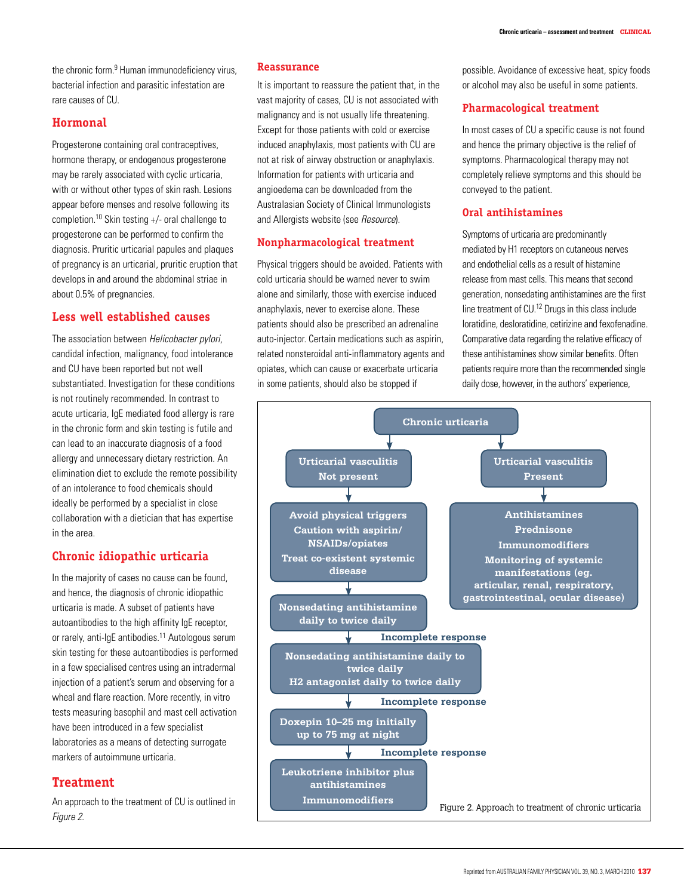the chronic form <sup>9</sup> Human immunodeficiency virus bacterial infection and parasitic infestation are rare causes of CU.

## **Hormonal**

Progesterone containing oral contraceptives, hormone therapy, or endogenous progesterone may be rarely associated with cyclic urticaria, with or without other types of skin rash. Lesions appear before menses and resolve following its completion.10 Skin testing +/- oral challenge to progesterone can be performed to confirm the diagnosis. Pruritic urticarial papules and plaques of pregnancy is an urticarial, pruritic eruption that develops in and around the abdominal striae in about 0.5% of pregnancies.

## **Less well established causes**

The association between Helicobacter pylori, candidal infection, malignancy, food intolerance and CU have been reported but not well substantiated. Investigation for these conditions is not routinely recommended. In contrast to acute urticaria, IgE mediated food allergy is rare in the chronic form and skin testing is futile and can lead to an inaccurate diagnosis of a food allergy and unnecessary dietary restriction. An elimination diet to exclude the remote possibility of an intolerance to food chemicals should ideally be performed by a specialist in close collaboration with a dietician that has expertise in the area.

## **Chronic idiopathic urticaria**

In the majority of cases no cause can be found, and hence, the diagnosis of chronic idiopathic urticaria is made. A subset of patients have autoantibodies to the high affinity IgE receptor, or rarely, anti-IgE antibodies.<sup>11</sup> Autologous serum skin testing for these autoantibodies is performed in a few specialised centres using an intradermal injection of a patient's serum and observing for a wheal and flare reaction. More recently, in vitro tests measuring basophil and mast cell activation have been introduced in a few specialist laboratories as a means of detecting surrogate markers of autoimmune urticaria.

# **Treatment**

An approach to the treatment of CU is outlined in

#### **Reassurance**

It is important to reassure the patient that, in the vast majority of cases, CU is not associated with malignancy and is not usually life threatening. Except for those patients with cold or exercise induced anaphylaxis, most patients with CU are not at risk of airway obstruction or anaphylaxis. Information for patients with urticaria and angioedema can be downloaded from the Australasian Society of Clinical Immunologists and Allergists website (see Resource).

#### **Nonpharmacological treatment**

Physical triggers should be avoided. Patients with cold urticaria should be warned never to swim alone and similarly, those with exercise induced anaphylaxis, never to exercise alone. These patients should also be prescribed an adrenaline auto-injector. Certain medications such as aspirin, related nonsteroidal anti-inflammatory agents and opiates, which can cause or exacerbate urticaria in some patients, should also be stopped if

possible. Avoidance of excessive heat, spicy foods or alcohol may also be useful in some patients.

## **Pharmacological treatment**

In most cases of CU a specific cause is not found and hence the primary objective is the relief of symptoms. Pharmacological therapy may not completely relieve symptoms and this should be conveyed to the patient.

## **Oral antihistamines**

Symptoms of urticaria are predominantly mediated by H1 receptors on cutaneous nerves and endothelial cells as a result of histamine release from mast cells. This means that second generation, nonsedating antihistamines are the first line treatment of CU.12 Drugs in this class include loratidine, desloratidine, cetirizine and fexofenadine. Comparative data regarding the relative efficacy of these antihistamines show similar benefits. Often patients require more than the recommended single daily dose, however, in the authors' experience,